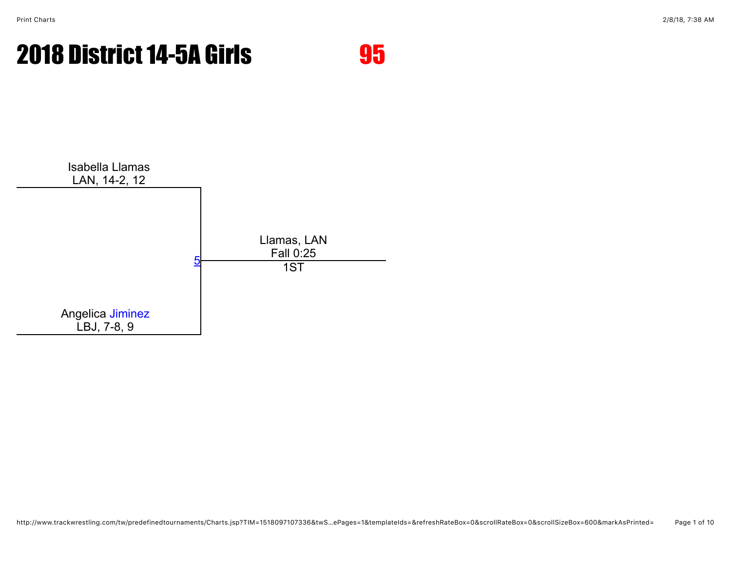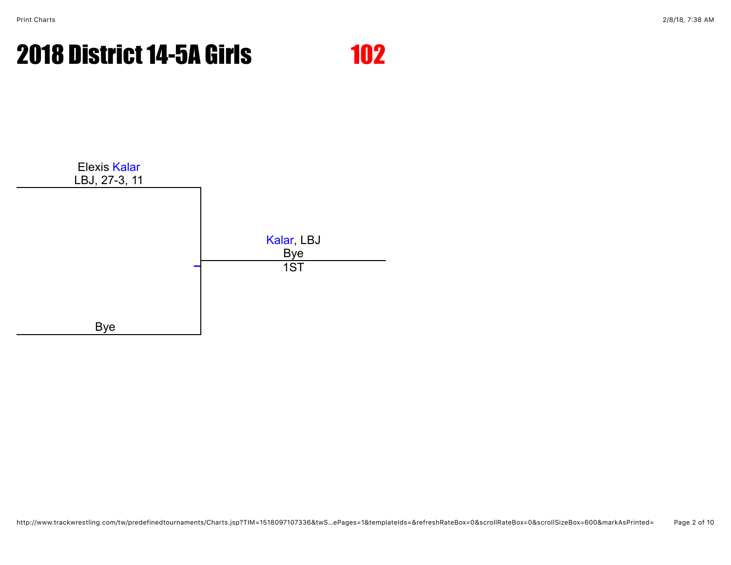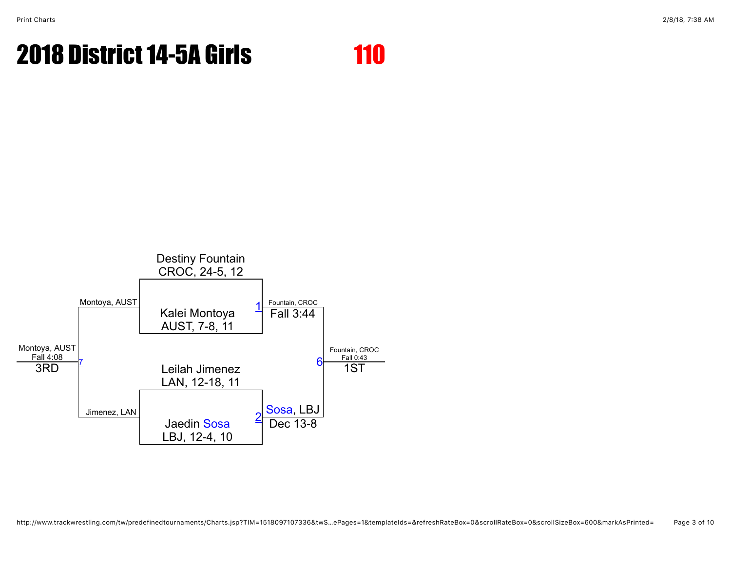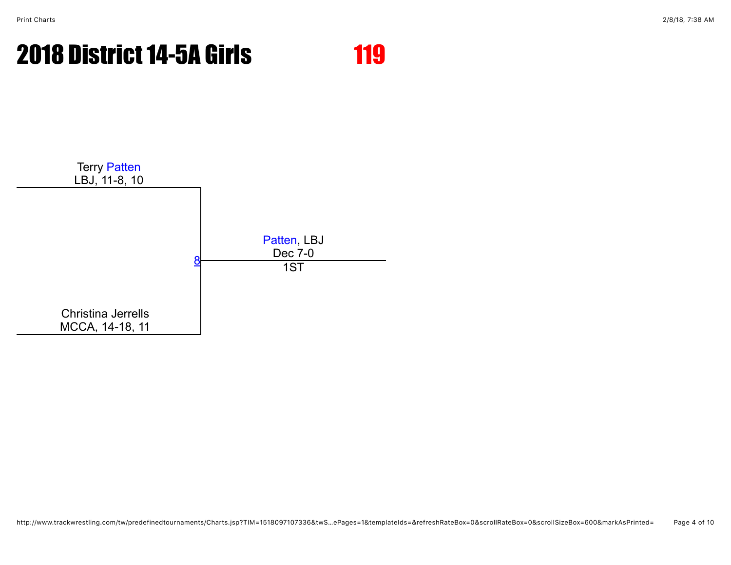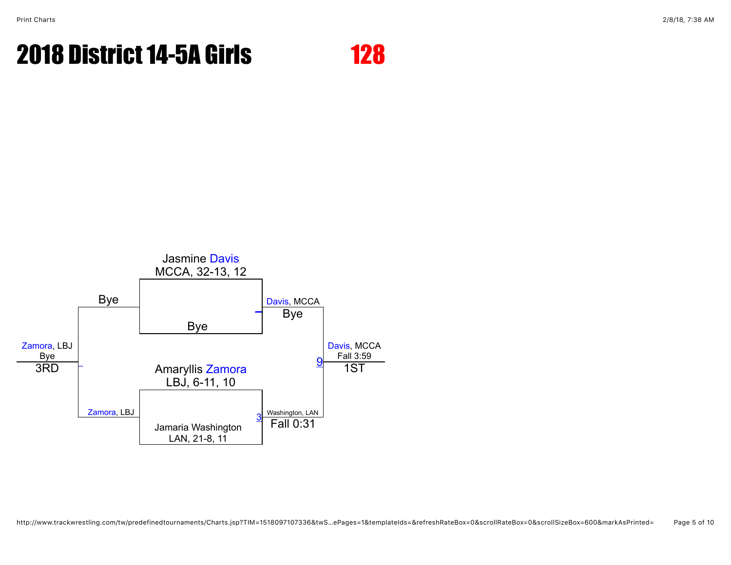

http://www.trackwrestling.com/tw/predefinedtournaments/Charts.jsp?TIM=1518097107336&twS…ePages=1&templateIds=&refreshRateBox=0&scrollRateBox=0&scrollSizeBox=600&markAsPrinted= Page 5 of 10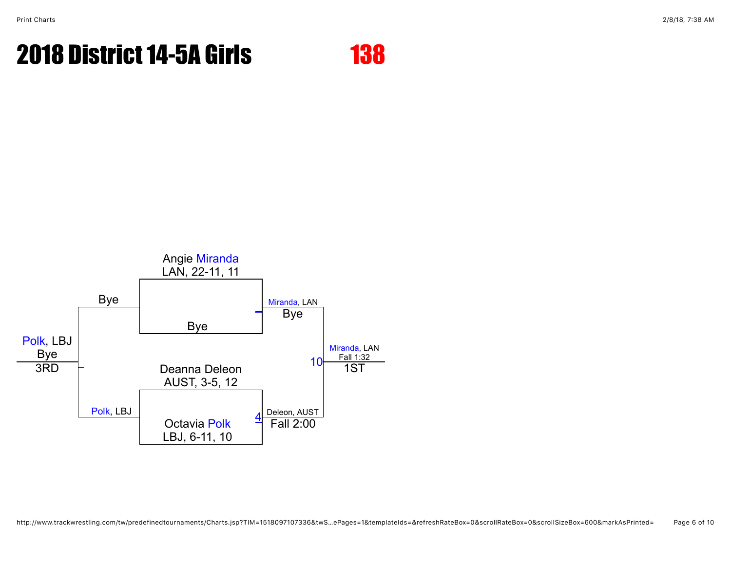

http://www.trackwrestling.com/tw/predefinedtournaments/Charts.jsp?TIM=1518097107336&twS…ePages=1&templateIds=&refreshRateBox=0&scrollRateBox=0&scrollSizeBox=600&markAsPrinted= Page 6 of 10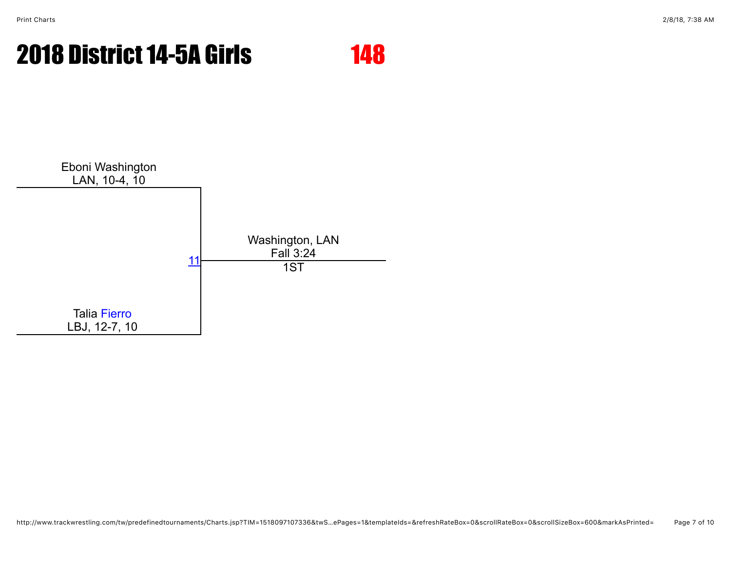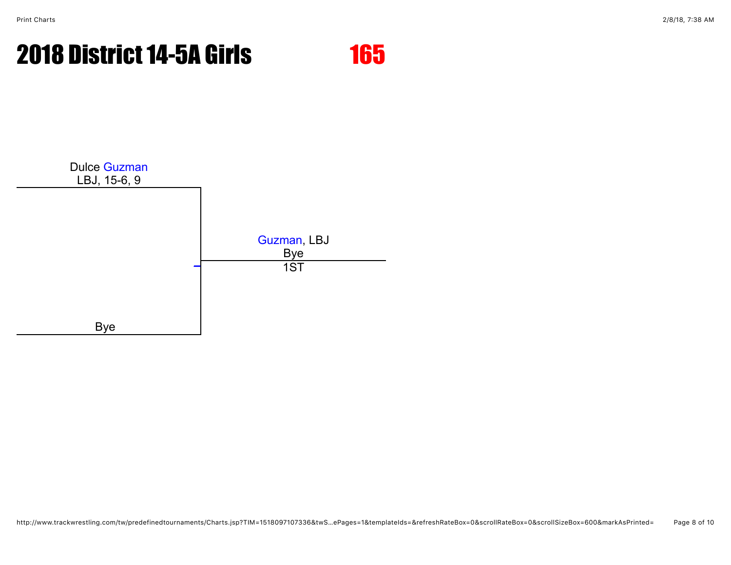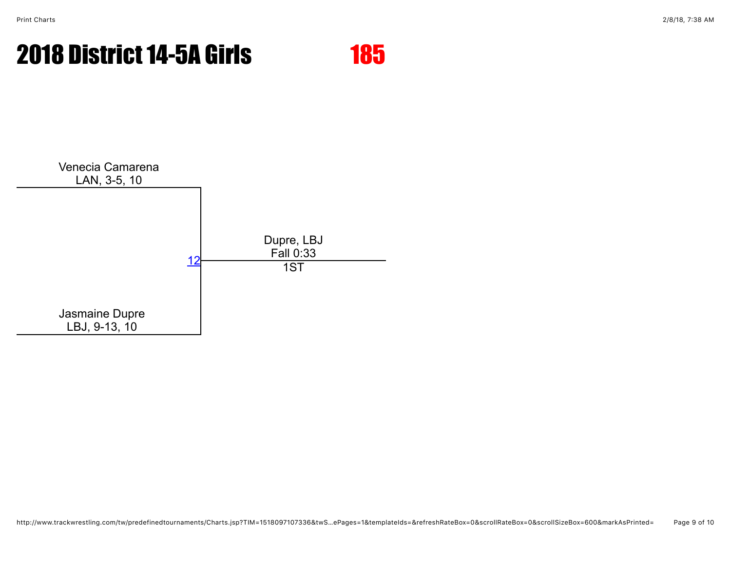